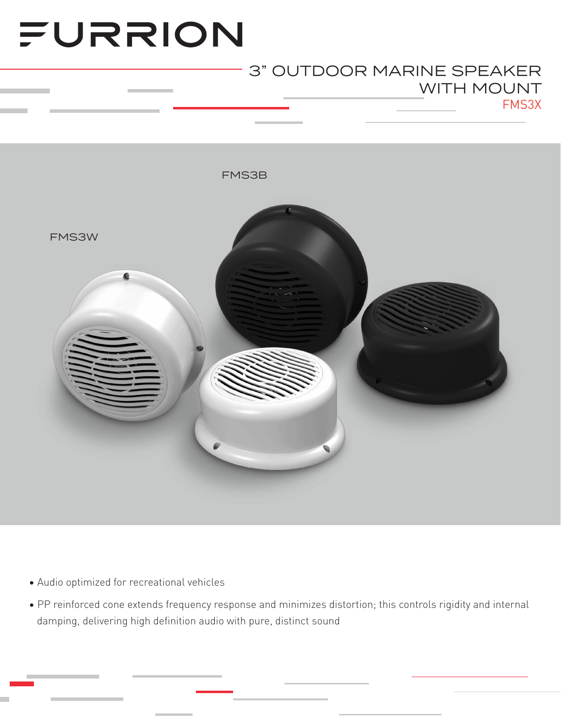# FURRION

### FMS3X 3" OUTDOOR MARINE SPEAKER WITH MOUNT



- Audio optimized for recreational vehicles
- PP reinforced cone extends frequency response and minimizes distortion; this controls rigidity and internal damping, delivering high definition audio with pure, distinct sound